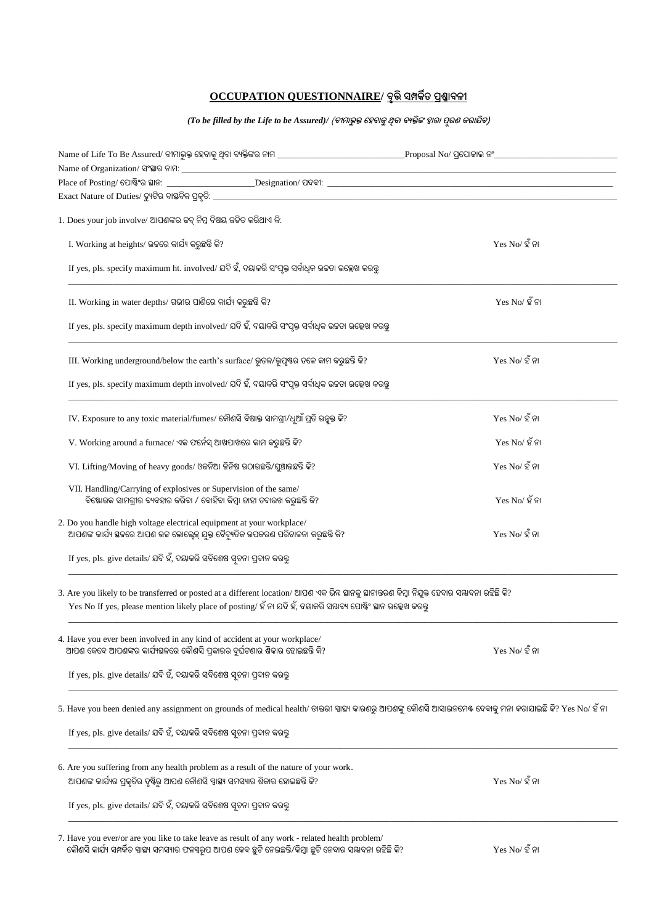## **OCCUPATION QUESTIONNAIRE/ ବୃତ୍ତିସମ୍ପର୍କିତ ପ୍ରଶ୍ନାବଳୀ**

## *(To be filled by the Life to be Assured)/* (**ବୀମାଭୁକ୍ତ ହେବାର୍କୁଥିବା ବୟକ୍ତିଙ୍କ ଦ୍ୱାରା ପୂରଣ ର୍କରାଯିବ)**

| $1.$ Does your job involve/ ଆପଶଙ୍କର ଜବ୍ ନିମ୍ନ ବିଷୟ ଜଡିତ କରିଥାଏ କି:                                                                                                                                                                                               |                            |  |
|------------------------------------------------------------------------------------------------------------------------------------------------------------------------------------------------------------------------------------------------------------------|----------------------------|--|
| I. Working at heights/ ଉଚ୍ଚରେ କାର୍ଯ୍ୟ କରୁଛନ୍ତି କି?                                                                                                                                                                                                               | $Yes No/$ ହ ଁ ନା           |  |
| If yes, pls. specify maximum ht. involved/ ଯଦି ହଁ, ଦୟାକରି ସଂପୃକ୍ତ ସର୍ବାଧିକ ଉଚ୍ଚତା ଉଲ୍ଲେଖ କରନ୍ତୁ                                                                                                                                                                  |                            |  |
| II. Working in water depths/ ଗଭୀର ପାଶିରେ କାର୍ଯ୍ୟ କରୁଛନ୍ତି କି?                                                                                                                                                                                                    | $Yes No/$ ହ ଁନା            |  |
| If yes, pls. specify maximum depth involved/ ଯଦି ହଁ, ଦୟାକରି ସଂପୃକ୍ତ ସର୍ବାଧିକ ଉଚ୍ଚତା ଉଲ୍ଲେଖ କରନ୍ତୁ                                                                                                                                                                |                            |  |
| III. Working underground/below the earth's surface/ ଭୂତଳ/ଭୂପୃଷ୍ଠ ତଳେ କାମ କରୁଛନ୍ତି କି?                                                                                                                                                                            | $Yes No/$ ହ ଁ ନା           |  |
| If yes, pls. specify maximum depth involved/ ଯଦି ହଁ, ଦୟାକରି ସଂପୃକ୍ତ ସର୍ବାଧିକ ଉଚ୍ଚତା ଉଲ୍ଲେଖ କରନ୍ତୁ                                                                                                                                                                |                            |  |
| IV. Exposure to any toxic material/fumes/ କୌଶସି ବିଷାକ୍ତ ସାମଗ୍ରୀ/ଧୂଆଁ ପ୍ରତି ଉନ୍କୃକ୍ତ କି?                                                                                                                                                                          | $Yes No/$ ହ ଁ ନା           |  |
| V. Working around a furnace/ ଏକ ଫର୍ନେସ୍ ଆଖପାଖରେ କାମ କରୁଛନ୍ତି କି?                                                                                                                                                                                                 | $Yes No/$ ହ ଁ ନା           |  |
| VI. Lifting/Moving of heavy goods/ ଓକନିଆ କିନିଷ ଉଠାଉଛନ୍ତି/ଘୁଞ୍ଚାଉଛନ୍ତି କି?                                                                                                                                                                                        | $Yes No/$ ହ ଁ ନା           |  |
| VII. Handling/Carrying of explosives or Supervision of the same/<br>ବିଷ୍ଟୋରକ ସାମଗ୍ରୀର ବ୍ୟବହାର କରିବା / ବୋହିବା କିମ୍ବା ତାହା ତଦାରଖ କରୁଛନ୍ତି କି?                                                                                                                      | $Yes No/$ ହ ଁନା            |  |
| 2. Do you handle high voltage electrical equipment at your workplace/<br>ଆପଶଙ୍କ କାର୍ଯ୍ୟ ସ୍ଥଳରେ ଆପଶ ଉଚ୍ଚ ଭୋଲ୍ସେକ୍ ଯୁକ୍ତ ବୈଦ୍ୟୁତିକ ଉପକରଣ ପରିଚାଳନା କରୁଛନ୍ତି କି?                                                                                                     | $Yes No/\n\mathfrak{C}$ ନା |  |
| If yes, pls. give details/ ଯଦି ହଁ, ଦୟାକରି ସବିଶେଷ ସ୍ୱଚନା ପ୍ରଦାନ କରନ୍ତୁ                                                                                                                                                                                            |                            |  |
| 3. Are you likely to be transferred or posted at a different location/ ଆପଶ ଏକ ଭିନ୍ନ ସ୍ଥାନକୁ ସ୍ଥାନାନ୍ତରଣ କିମ୍ବା ନିଯୁକ୍ତ ହେବାର ସ୍ୟାବନା ରହିଛି କି?<br>Yes No If yes, please mention likely place of posting/ ହଁ ନା ଯଦି ହଁ, ଦୟାକରି ସୟାବ୍ୟ ପୋଷ୍ଟିଂ ସ୍ଥାନ ଉଲ୍ଲେଖ କରନ୍ତୁ |                            |  |
| 4. Have you ever been involved in any kind of accident at your workplace/<br>ଆପଶ କେବେ ଆପଶଙ୍କର କାର୍ଯ୍ୟସ୍କଳରେ କୌଶସି ପ୍ରକାରର ଦୁର୍ଘଟଶାର ଶିକାର ହୋଇଛନ୍ତି କି?                                                                                                           | $Yes No/\n\mathfrak{C}$ ନା |  |
| If yes, pls. give details/ ଯଦି ହଁ, ଦୟାକରି ସବିଶେଷ ସ୍ୱଚନା ପ୍ରଦାନ କରନ୍ତୁ                                                                                                                                                                                            |                            |  |
| 5. Have you been denied any assignment on grounds of medical health/ ଡାକ୍ତରୀ ସ୍ୱାଷ୍ୟ କାରଶରୁ ଆପଣଙ୍କୁ କୌଶସି ଆସାଇନମେଷ ଦେବାକୁ ମନା କରାଯାଇଛି କି? Yes No/ ହିଁ ନା                                                                                                        |                            |  |
| If yes, pls. give details/ ଯଦି ହଁ, ଦୟାକରି ସବିଶେଷ ସ୍ୱଚନା ପ୍ରଦାନ କରନ୍ତ                                                                                                                                                                                             |                            |  |
| 6. Are you suffering from any health problem as a result of the nature of your work.                                                                                                                                                                             |                            |  |
| ଆପଶଙ୍କ କାର୍ଯ୍ୟର ପ୍ରକୃତିର ଦୃଷ୍ଟିରୁ ଆପଶ କୌଶସି ସ୍ୱାସ୍ଥ୍ୟ ସମସ୍ୟାର ଶିକାର ହୋଇଛନ୍ତି କି?                                                                                                                                                                                 | $Yes No/$ ହ ଁ ନା           |  |
| If yes, pls. give details/ ଯଦି ହଁ, ଦୟାକରି ସବିଶେଷ ସ୍ୱଚନା ପ୍ରଦାନ କରନ୍ତୁ                                                                                                                                                                                            |                            |  |
| 7. Have you ever/or are you like to take leave as result of any work - related health problem/<br>କୌଶସି କାର୍ଯ୍ୟ ସମ୍ପର୍କିତ ସ୍ୱାସ୍ଥ୍ୟ ସମସ୍ୟାର ଫଳସ୍ୱରୂପ ଆପଶ କେବ ଛୁଟି ନେଇଛନ୍ତି/କିମ୍ବା ଛୁଟି ନେବାର ସୟାବନା ରହିଛି କି?                                                    | $Yes No/$ ହ ଁ ନା           |  |